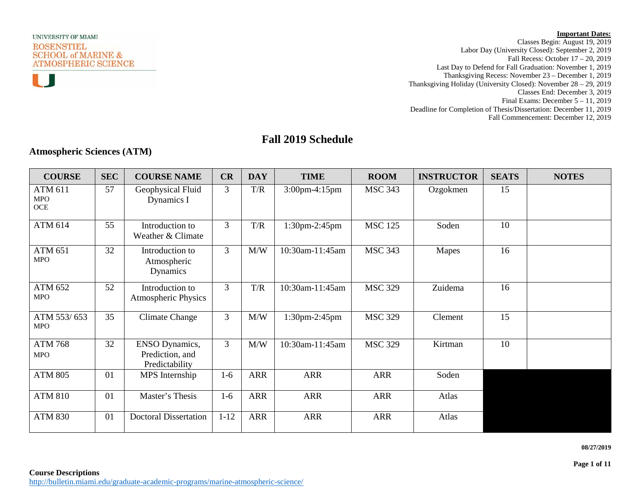

n n



Classes Begin: August 19, 2019 Labor Day (University Closed): September 2, 2019 Fall Recess: October 17 – 20, 2019 Last Day to Defend for Fall Graduation: November 1, 2019 Thanksgiving Recess: November 23 – December 1, 2019 Thanksgiving Holiday (University Closed): November 28 – 29, 2019 Classes End: December 3, 2019 Final Exams: December 5 – 11, 2019 Deadline for Completion of Thesis/Dissertation: December 11, 2019 Fall Commencement: December 12, 2019

# **Fall 2019 Schedule**

### **Atmospheric Sciences (ATM)**

| <b>COURSE</b>                         | <b>SEC</b> | <b>COURSE NAME</b>                                         | CR       | <b>DAY</b> | <b>TIME</b>          | <b>ROOM</b>    | <b>INSTRUCTOR</b> | <b>SEATS</b> | <b>NOTES</b> |
|---------------------------------------|------------|------------------------------------------------------------|----------|------------|----------------------|----------------|-------------------|--------------|--------------|
| <b>ATM 611</b><br><b>MPO</b><br>$OCE$ | 57         | Geophysical Fluid<br>Dynamics I                            | 3        | T/R        | $3:00$ pm-4:15pm     | <b>MSC 343</b> | Ozgokmen          | 15           |              |
| ATM 614                               | 55         | Introduction to<br>Weather & Climate                       | 3        | T/R        | $1:30$ pm $-2:45$ pm | <b>MSC 125</b> | Soden             | 10           |              |
| <b>ATM 651</b><br><b>MPO</b>          | 32         | Introduction to<br>Atmospheric<br>Dynamics                 | 3        | M/W        | 10:30am-11:45am      | <b>MSC 343</b> | Mapes             | 16           |              |
| ATM 652<br><b>MPO</b>                 | 52         | Introduction to<br>Atmospheric Physics                     | 3        | T/R        | 10:30am-11:45am      | <b>MSC 329</b> | Zuidema           | 16           |              |
| ATM 553/653<br><b>MPO</b>             | 35         | <b>Climate Change</b>                                      | 3        | M/W        | 1:30pm-2:45pm        | <b>MSC 329</b> | Clement           | 15           |              |
| <b>ATM 768</b><br><b>MPO</b>          | 32         | <b>ENSO Dynamics,</b><br>Prediction, and<br>Predictability | 3        | M/W        | 10:30am-11:45am      | <b>MSC 329</b> | Kirtman           | 10           |              |
| <b>ATM 805</b>                        | 01         | MPS Internship                                             | $1-6$    | <b>ARR</b> | <b>ARR</b>           | <b>ARR</b>     | Soden             |              |              |
| <b>ATM 810</b>                        | 01         | Master's Thesis                                            | $1-6$    | <b>ARR</b> | <b>ARR</b>           | <b>ARR</b>     | Atlas             |              |              |
| <b>ATM 830</b>                        | 01         | <b>Doctoral Dissertation</b>                               | $1 - 12$ | <b>ARR</b> | <b>ARR</b>           | <b>ARR</b>     | Atlas             |              |              |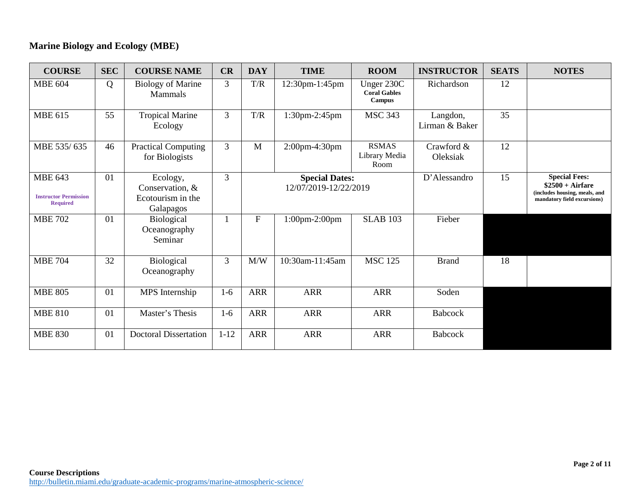# **Marine Biology and Ecology (MBE)**

| <b>COURSE</b>                                                     | <b>SEC</b> | <b>COURSE NAME</b>                                            | CR             | <b>DAY</b>  | <b>TIME</b>                                    | <b>ROOM</b>                                 | <b>INSTRUCTOR</b>          | <b>SEATS</b> | <b>NOTES</b>                                                                                              |
|-------------------------------------------------------------------|------------|---------------------------------------------------------------|----------------|-------------|------------------------------------------------|---------------------------------------------|----------------------------|--------------|-----------------------------------------------------------------------------------------------------------|
| <b>MBE 604</b>                                                    | Q          | <b>Biology of Marine</b><br><b>Mammals</b>                    | 3              | T/R         | 12:30pm-1:45pm                                 | Unger 230C<br><b>Coral Gables</b><br>Campus | Richardson                 | 12           |                                                                                                           |
| <b>MBE 615</b>                                                    | 55         | <b>Tropical Marine</b><br>Ecology                             | $\overline{3}$ | T/R         | 1:30pm-2:45pm                                  | <b>MSC 343</b>                              | Langdon,<br>Lirman & Baker | 35           |                                                                                                           |
| MBE 535/635                                                       | 46         | <b>Practical Computing</b><br>for Biologists                  | 3              | M           | 2:00pm-4:30pm                                  | <b>RSMAS</b><br>Library Media<br>Room       | Crawford &<br>Oleksiak     | 12           |                                                                                                           |
| <b>MBE 643</b><br><b>Instructor Permission</b><br><b>Required</b> | 01         | Ecology,<br>Conservation, &<br>Ecotourism in the<br>Galapagos | 3              |             | <b>Special Dates:</b><br>12/07/2019-12/22/2019 |                                             | D'Alessandro               | 15           | <b>Special Fees:</b><br>$$2500 + Airfare$<br>(includes housing, meals, and<br>mandatory field excursions) |
| <b>MBE 702</b>                                                    | 01         | <b>Biological</b><br>Oceanography<br>Seminar                  |                | $\mathbf F$ | $1:00$ pm-2:00pm                               | <b>SLAB 103</b>                             | Fieber                     |              |                                                                                                           |
| <b>MBE 704</b>                                                    | 32         | Biological<br>Oceanography                                    | 3              | M/W         | 10:30am-11:45am                                | <b>MSC 125</b>                              | <b>Brand</b>               | 18           |                                                                                                           |
| <b>MBE 805</b>                                                    | 01         | MPS Internship                                                | $1-6$          | <b>ARR</b>  | <b>ARR</b>                                     | <b>ARR</b>                                  | Soden                      |              |                                                                                                           |
| <b>MBE 810</b>                                                    | 01         | Master's Thesis                                               | $1-6$          | <b>ARR</b>  | <b>ARR</b>                                     | <b>ARR</b>                                  | <b>Babcock</b>             |              |                                                                                                           |
| <b>MBE 830</b>                                                    | 01         | <b>Doctoral Dissertation</b>                                  | $1 - 12$       | <b>ARR</b>  | <b>ARR</b>                                     | <b>ARR</b>                                  | <b>Babcock</b>             |              |                                                                                                           |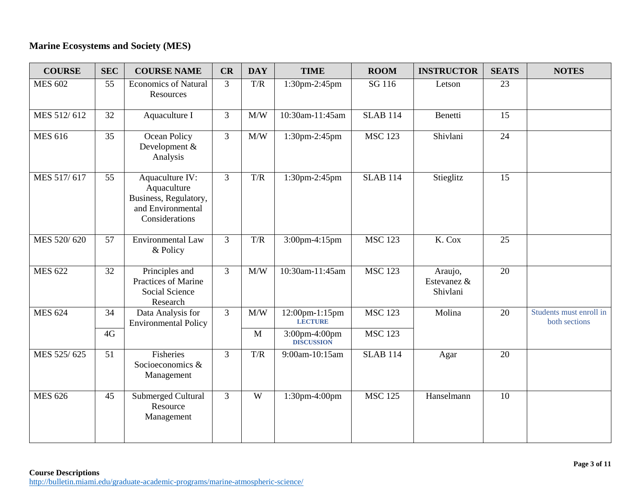# **Marine Ecosystems and Society (MES)**

| <b>COURSE</b>  | <b>SEC</b>      | <b>COURSE NAME</b>                                                                             | CR             | <b>DAY</b>          | <b>TIME</b>                        | <b>ROOM</b>     | <b>INSTRUCTOR</b>                  | <b>SEATS</b>    | <b>NOTES</b>                             |
|----------------|-----------------|------------------------------------------------------------------------------------------------|----------------|---------------------|------------------------------------|-----------------|------------------------------------|-----------------|------------------------------------------|
| <b>MES 602</b> | 55              | <b>Economics of Natural</b><br>Resources                                                       | 3              | T/R                 | 1:30pm-2:45pm                      | SG 116          | Letson                             | 23              |                                          |
| MES 512/612    | 32              | Aquaculture I                                                                                  | 3              | M/W                 | 10:30am-11:45am                    | <b>SLAB 114</b> | Benetti                            | 15              |                                          |
| <b>MES 616</b> | 35              | Ocean Policy<br>Development &<br>Analysis                                                      | 3              | $\text{M}/\text{W}$ | 1:30pm-2:45pm                      | <b>MSC 123</b>  | Shivlani                           | $\overline{24}$ |                                          |
| MES 517/617    | 55              | Aquaculture IV:<br>Aquaculture<br>Business, Regulatory,<br>and Environmental<br>Considerations | $\overline{3}$ | T/R                 | 1:30pm-2:45pm                      | <b>SLAB 114</b> | Stieglitz                          | 15              |                                          |
| MES 520/620    | $\overline{57}$ | <b>Environmental Law</b><br>& Policy                                                           | $\overline{3}$ | T/R                 | $3:00$ pm-4:15pm                   | <b>MSC 123</b>  | K. Cox                             | $\overline{25}$ |                                          |
| <b>MES 622</b> | 32              | Principles and<br>Practices of Marine<br>Social Science<br>Research                            | 3              | M/W                 | 10:30am-11:45am                    | <b>MSC 123</b>  | Araujo,<br>Estevanez &<br>Shivlani | 20              |                                          |
| <b>MES 624</b> | 34              | Data Analysis for<br><b>Environmental Policy</b>                                               | $\overline{3}$ | $\text{M}/\text{W}$ | 12:00pm-1:15pm<br><b>LECTURE</b>   | <b>MSC 123</b>  | Molina                             | 20              | Students must enroll in<br>both sections |
|                | 4G              |                                                                                                |                | $\mathbf{M}$        | 3:00pm-4:00pm<br><b>DISCUSSION</b> | <b>MSC 123</b>  |                                    |                 |                                          |
| MES 525/625    | 51              | Fisheries<br>Socioeconomics &<br>Management                                                    | $\overline{3}$ | T/R                 | 9:00am-10:15am                     | <b>SLAB 114</b> | Agar                               | 20              |                                          |
| <b>MES 626</b> | 45              | Submerged Cultural<br>Resource<br>Management                                                   | $\overline{3}$ | W                   | 1:30pm-4:00pm                      | <b>MSC 125</b>  | Hanselmann                         | 10              |                                          |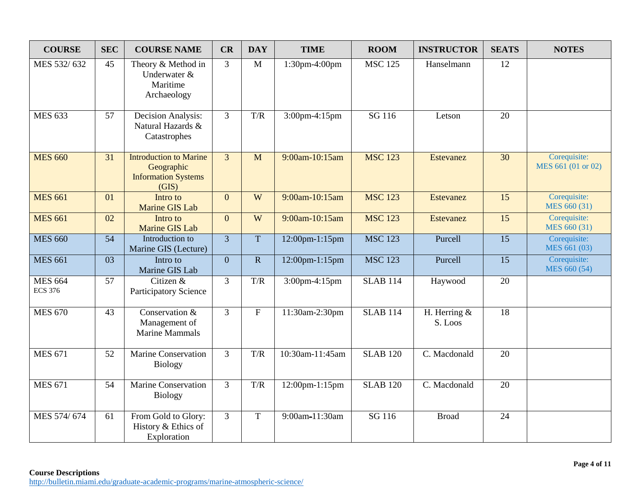| <b>COURSE</b>                    | <b>SEC</b> | <b>COURSE NAME</b>                                                                 | CR             | <b>DAY</b>     | <b>TIME</b>     | <b>ROOM</b>                 | <b>INSTRUCTOR</b>         | <b>SEATS</b>    | <b>NOTES</b>                       |
|----------------------------------|------------|------------------------------------------------------------------------------------|----------------|----------------|-----------------|-----------------------------|---------------------------|-----------------|------------------------------------|
| MES 532/632                      | 45         | Theory & Method in<br>Underwater &<br>Maritime<br>Archaeology                      | 3              | $\mathbf{M}$   | 1:30pm-4:00pm   | $\overline{\text{MSC}}$ 125 | Hanselmann                | 12              |                                    |
| <b>MES 633</b>                   | 57         | Decision Analysis:<br>Natural Hazards &<br>Catastrophes                            | $\overline{3}$ | T/R            | 3:00pm-4:15pm   | SG 116                      | Letson                    | 20              |                                    |
| <b>MES 660</b>                   | 31         | <b>Introduction to Marine</b><br>Geographic<br><b>Information Systems</b><br>(GIS) | $\overline{3}$ | M              | 9:00am-10:15am  | <b>MSC 123</b>              | <b>Estevanez</b>          | 30              | Corequisite:<br>MES 661 (01 or 02) |
| <b>MES 661</b>                   | 01         | Intro to<br>Marine GIS Lab                                                         | $\overline{0}$ | W              | 9:00am-10:15am  | <b>MSC 123</b>              | <b>Estevanez</b>          | 15              | Corequisite:<br>MES 660 (31)       |
| <b>MES 661</b>                   | 02         | Intro to<br>Marine GIS Lab                                                         | $\Omega$       | W              | 9:00am-10:15am  | <b>MSC 123</b>              | <b>Estevanez</b>          | 15              | Corequisite:<br>MES 660 (31)       |
| <b>MES 660</b>                   | 54         | Introduction to<br>Marine GIS (Lecture)                                            | $\overline{3}$ | $\overline{T}$ | 12:00pm-1:15pm  | <b>MSC 123</b>              | Purcell                   | $\overline{15}$ | Corequisite:<br>MES 661 (03)       |
| <b>MES 661</b>                   | 03         | Intro to<br>Marine GIS Lab                                                         | $\overline{0}$ | ${\bf R}$      | 12:00pm-1:15pm  | <b>MSC 123</b>              | Purcell                   | 15              | Corequisite:<br>MES 660 (54)       |
| <b>MES 664</b><br><b>ECS 376</b> | 57         | Citizen &<br><b>Participatory Science</b>                                          | 3              | T/R            | 3:00pm-4:15pm   | <b>SLAB 114</b>             | Haywood                   | 20              |                                    |
| <b>MES 670</b>                   | 43         | Conservation &<br>Management of<br><b>Marine Mammals</b>                           | $\overline{3}$ | $\overline{F}$ | 11:30am-2:30pm  | <b>SLAB 114</b>             | H. Herring $&$<br>S. Loos | $\overline{18}$ |                                    |
| <b>MES 671</b>                   | 52         | <b>Marine Conservation</b><br><b>Biology</b>                                       | $\overline{3}$ | T/R            | 10:30am-11:45am | <b>SLAB 120</b>             | C. Macdonald              | 20              |                                    |
| <b>MES 671</b>                   | 54         | <b>Marine Conservation</b><br><b>Biology</b>                                       | $\overline{3}$ | T/R            | 12:00pm-1:15pm  | <b>SLAB 120</b>             | C. Macdonald              | 20              |                                    |
| MES 574/674                      | 61         | From Gold to Glory:<br>History & Ethics of<br>Exploration                          | 3              | $\overline{T}$ | 9:00am-11:30am  | SG 116                      | <b>Broad</b>              | 24              |                                    |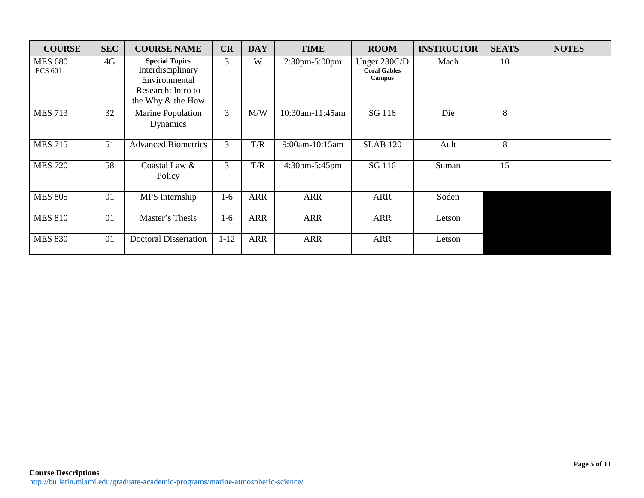| <b>COURSE</b>                    | <b>SEC</b> | <b>COURSE NAME</b>                                                                                     | CR       | <b>DAY</b> | <b>TIME</b>                     | <b>ROOM</b>                                          | <b>INSTRUCTOR</b> | <b>SEATS</b> | <b>NOTES</b> |
|----------------------------------|------------|--------------------------------------------------------------------------------------------------------|----------|------------|---------------------------------|------------------------------------------------------|-------------------|--------------|--------------|
| <b>MES 680</b><br><b>ECS 601</b> | 4G         | <b>Special Topics</b><br>Interdisciplinary<br>Environmental<br>Research: Intro to<br>the Why & the How | 3        | W          | $2:30 \text{pm-}5:00 \text{pm}$ | Unger 230C/D<br><b>Coral Gables</b><br><b>Campus</b> | Mach              | 10           |              |
| <b>MES 713</b>                   | 32         | Marine Population<br>Dynamics                                                                          | 3        | M/W        | 10:30am-11:45am                 | SG 116                                               | Die               | 8            |              |
| <b>MES 715</b>                   | 51         | <b>Advanced Biometrics</b>                                                                             | 3        | T/R        | 9:00am-10:15am                  | <b>SLAB 120</b>                                      | Ault              | 8            |              |
| <b>MES 720</b>                   | 58         | Coastal Law &<br>Policy                                                                                | 3        | T/R        | $4:30 \text{pm-}5:45 \text{pm}$ | SG 116                                               | Suman             | 15           |              |
| <b>MES 805</b>                   | 01         | MPS Internship                                                                                         | $1-6$    | <b>ARR</b> | <b>ARR</b>                      | <b>ARR</b>                                           | Soden             |              |              |
| <b>MES 810</b>                   | 01         | Master's Thesis                                                                                        | $1-6$    | <b>ARR</b> | <b>ARR</b>                      | <b>ARR</b>                                           | Letson            |              |              |
| <b>MES 830</b>                   | 01         | <b>Doctoral Dissertation</b>                                                                           | $1 - 12$ | <b>ARR</b> | <b>ARR</b>                      | <b>ARR</b>                                           | Letson            |              |              |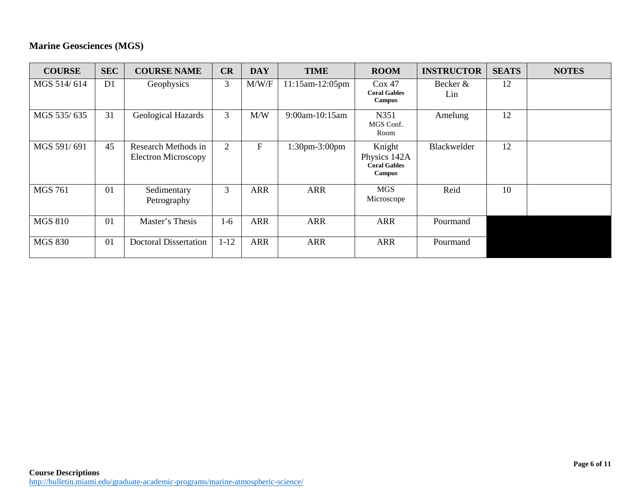# **Marine Geosciences (MGS)**

| <b>COURSE</b>  | <b>SEC</b> | <b>COURSE NAME</b>                                | CR             | <b>DAY</b>  | <b>TIME</b>          | <b>ROOM</b>                                                    | <b>INSTRUCTOR</b> | <b>SEATS</b> | <b>NOTES</b> |
|----------------|------------|---------------------------------------------------|----------------|-------------|----------------------|----------------------------------------------------------------|-------------------|--------------|--------------|
| MGS 514/614    | D1         | Geophysics                                        | 3              | M/W/F       | 11:15am-12:05pm      | Cox 47<br><b>Coral Gables</b><br>Campus                        | Becker &<br>Lin   | 12           |              |
| MGS 535/635    | 31         | Geological Hazards                                | 3              | M/W         | 9:00am-10:15am       | N351<br>MGS Conf.<br>Room                                      | Amelung           | 12           |              |
| MGS 591/691    | 45         | Research Methods in<br><b>Electron Microscopy</b> | $\overline{2}$ | $\mathbf F$ | $1:30$ pm $-3:00$ pm | Knight<br>Physics 142A<br><b>Coral Gables</b><br><b>Campus</b> | Blackwelder       | 12           |              |
| <b>MGS 761</b> | 01         | Sedimentary<br>Petrography                        | 3              | <b>ARR</b>  | <b>ARR</b>           | <b>MGS</b><br>Microscope                                       | Reid              | 10           |              |
| <b>MGS 810</b> | 01         | Master's Thesis                                   | $1-6$          | <b>ARR</b>  | <b>ARR</b>           | <b>ARR</b>                                                     | Pourmand          |              |              |
| <b>MGS 830</b> | 01         | <b>Doctoral Dissertation</b>                      | $1 - 12$       | <b>ARR</b>  | <b>ARR</b>           | <b>ARR</b>                                                     | Pourmand          |              |              |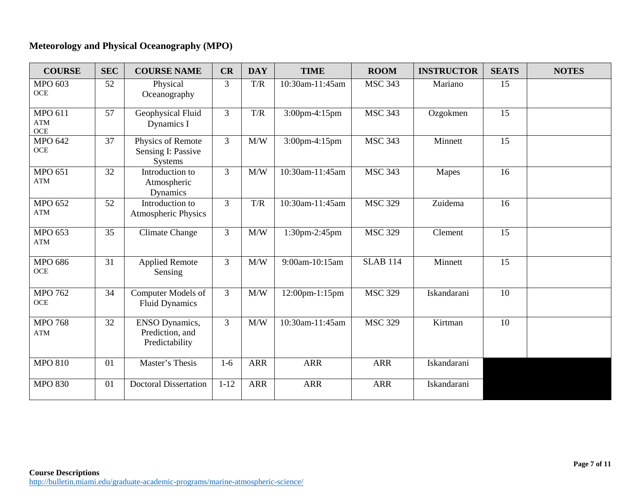# **Meteorology and Physical Oceanography (MPO)**

| <b>COURSE</b>                       | <b>SEC</b>      | <b>COURSE NAME</b>                                         | CR             | <b>DAY</b> | <b>TIME</b>     | <b>ROOM</b>     | <b>INSTRUCTOR</b> | <b>SEATS</b>    | <b>NOTES</b> |
|-------------------------------------|-----------------|------------------------------------------------------------|----------------|------------|-----------------|-----------------|-------------------|-----------------|--------------|
| <b>MPO 603</b><br>OCE               | 52              | Physical<br>Oceanography                                   | 3              | T/R        | 10:30am-11:45am | <b>MSC 343</b>  | Mariano           | 15              |              |
| <b>MPO 611</b><br><b>ATM</b><br>OCE | 57              | Geophysical Fluid<br>Dynamics I                            | $\overline{3}$ | T/R        | 3:00pm-4:15pm   | <b>MSC 343</b>  | Ozgokmen          | $\overline{15}$ |              |
| <b>MPO 642</b><br><b>OCE</b>        | 37              | Physics of Remote<br>Sensing I: Passive<br><b>Systems</b>  | $\overline{3}$ | M/W        | 3:00pm-4:15pm   | <b>MSC 343</b>  | Minnett           | 15              |              |
| <b>MPO 651</b><br>ATM               | 32              | Introduction to<br>Atmospheric<br>Dynamics                 | $\overline{3}$ | M/W        | 10:30am-11:45am | <b>MSC 343</b>  | Mapes             | 16              |              |
| <b>MPO 652</b><br><b>ATM</b>        | $\overline{52}$ | Introduction to<br><b>Atmospheric Physics</b>              | $\overline{3}$ | T/R        | 10:30am-11:45am | <b>MSC 329</b>  | Zuidema           | $\overline{16}$ |              |
| <b>MPO 653</b><br>ATM               | 35              | <b>Climate Change</b>                                      | 3              | M/W        | 1:30pm-2:45pm   | <b>MSC 329</b>  | Clement           | 15              |              |
| <b>MPO 686</b><br>OCE               | 31              | <b>Applied Remote</b><br>Sensing                           | 3              | M/W        | 9:00am-10:15am  | <b>SLAB 114</b> | Minnett           | 15              |              |
| <b>MPO 762</b><br>OCE               | 34              | Computer Models of<br><b>Fluid Dynamics</b>                | $\overline{3}$ | M/W        | 12:00pm-1:15pm  | <b>MSC 329</b>  | Iskandarani       | $\overline{10}$ |              |
| <b>MPO 768</b><br>ATM               | 32              | <b>ENSO Dynamics,</b><br>Prediction, and<br>Predictability | $\overline{3}$ | M/W        | 10:30am-11:45am | <b>MSC 329</b>  | Kirtman           | 10              |              |
| <b>MPO 810</b>                      | 01              | Master's Thesis                                            | $1-6$          | <b>ARR</b> | <b>ARR</b>      | <b>ARR</b>      | Iskandarani       |                 |              |
| <b>MPO 830</b>                      | 01              | <b>Doctoral Dissertation</b>                               | $1 - 12$       | <b>ARR</b> | <b>ARR</b>      | <b>ARR</b>      | Iskandarani       |                 |              |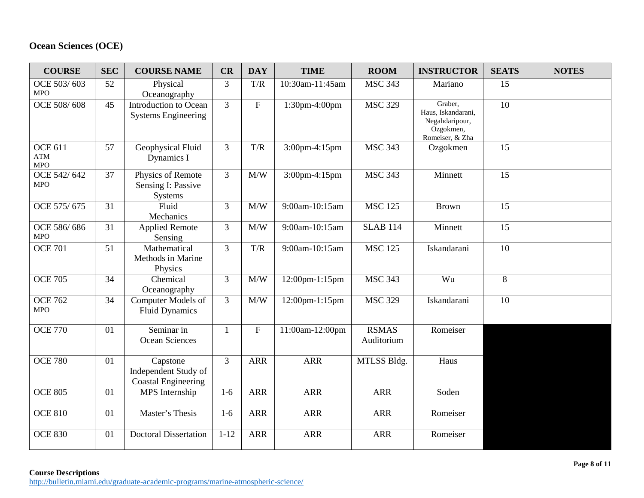# **Ocean Sciences (OCE)**

| <b>COURSE</b>                                  | <b>SEC</b> | <b>COURSE NAME</b>                                             | CR             | <b>DAY</b>                | <b>TIME</b>       | <b>ROOM</b>                | <b>INSTRUCTOR</b>                                                               | <b>SEATS</b>    | <b>NOTES</b> |
|------------------------------------------------|------------|----------------------------------------------------------------|----------------|---------------------------|-------------------|----------------------------|---------------------------------------------------------------------------------|-----------------|--------------|
| OCE 503/603<br><b>MPO</b>                      | 52         | Physical<br>Oceanography                                       | 3              | T/R                       | 10:30am-11:45am   | <b>MSC 343</b>             | Mariano                                                                         | 15              |              |
| OCE 508/608                                    | 45         | Introduction to Ocean<br><b>Systems Engineering</b>            | 3              | $\boldsymbol{\mathrm{F}}$ | 1:30pm-4:00pm     | <b>MSC 329</b>             | Graber,<br>Haus, Iskandarani,<br>Negahdaripour,<br>Ozgokmen,<br>Romeiser, & Zha | $\overline{10}$ |              |
| <b>OCE 611</b><br>$\mathbf{ATM}$<br><b>MPO</b> | 57         | Geophysical Fluid<br>Dynamics I                                | 3              | T/R                       | 3:00pm-4:15pm     | <b>MSC 343</b>             | Ozgokmen                                                                        | 15              |              |
| OCE 542/642<br>MPO                             | 37         | Physics of Remote<br>Sensing I: Passive<br>Systems             | $\overline{3}$ | M/W                       | 3:00pm-4:15pm     | <b>MSC 343</b>             | Minnett                                                                         | 15              |              |
| OCE 575/675                                    | 31         | Fluid<br>Mechanics                                             | $\overline{3}$ | M/W                       | 9:00am-10:15am    | <b>MSC 125</b>             | <b>Brown</b>                                                                    | 15              |              |
| OCE 586/686<br><b>MPO</b>                      | 31         | <b>Applied Remote</b><br>Sensing                               | $\overline{3}$ | M/W                       | 9:00am-10:15am    | <b>SLAB 114</b>            | Minnett                                                                         | 15              |              |
| <b>OCE 701</b>                                 | 51         | Mathematical<br>Methods in Marine<br>Physics                   | $\overline{3}$ | T/R                       | 9:00am-10:15am    | <b>MSC 125</b>             | Iskandarani                                                                     | 10              |              |
| <b>OCE 705</b>                                 | 34         | Chemical<br>Oceanography                                       | $\overline{3}$ | M/W                       | $12:00$ pm-1:15pm | <b>MSC 343</b>             | Wu                                                                              | 8               |              |
| <b>OCE 762</b><br><b>MPO</b>                   | 34         | Computer Models of<br><b>Fluid Dynamics</b>                    | $\overline{3}$ | $\text{M}/\text{W}$       | 12:00pm-1:15pm    | <b>MSC 329</b>             | Iskandarani                                                                     | 10              |              |
| <b>OCE 770</b>                                 | 01         | Seminar in<br>Ocean Sciences                                   | $\mathbf{1}$   | $\mathbf F$               | 11:00am-12:00pm   | <b>RSMAS</b><br>Auditorium | Romeiser                                                                        |                 |              |
| <b>OCE 780</b>                                 | 01         | Capstone<br>Independent Study of<br><b>Coastal Engineering</b> | $\overline{3}$ | <b>ARR</b>                | <b>ARR</b>        | MTLSS Bldg.                | Haus                                                                            |                 |              |
| <b>OCE 805</b>                                 | 01         | MPS Internship                                                 | $1-6$          | <b>ARR</b>                | <b>ARR</b>        | <b>ARR</b>                 | Soden                                                                           |                 |              |
| <b>OCE 810</b>                                 | 01         | Master's Thesis                                                | $1-6$          | <b>ARR</b>                | <b>ARR</b>        | <b>ARR</b>                 | Romeiser                                                                        |                 |              |
| <b>OCE 830</b>                                 | 01         | <b>Doctoral Dissertation</b>                                   | $1 - 12$       | <b>ARR</b>                | <b>ARR</b>        | <b>ARR</b>                 | Romeiser                                                                        |                 |              |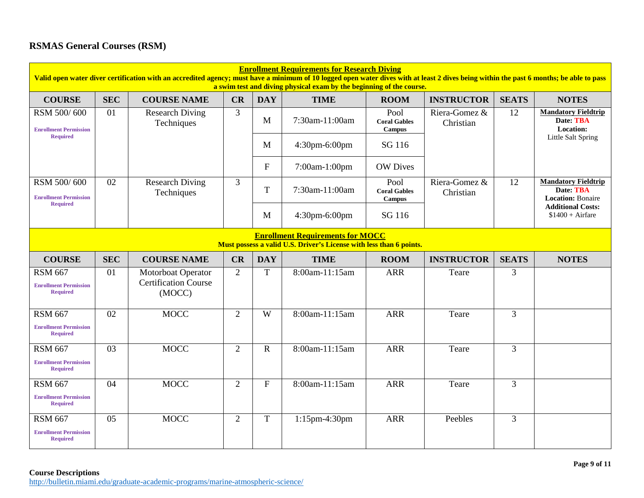# **RSMAS General Courses (RSM)**

| <b>Enrollment Requirements for Research Diving</b><br>Valid open water diver certification with an accredited agency; must have a minimum of 10 logged open water dives with at least 2 dives being within the past 6 months; be able to pass<br>a swim test and diving physical exam by the beginning of the course. |            |                                                                    |                |              |                |                                       |                            |              |                                                                     |  |  |
|-----------------------------------------------------------------------------------------------------------------------------------------------------------------------------------------------------------------------------------------------------------------------------------------------------------------------|------------|--------------------------------------------------------------------|----------------|--------------|----------------|---------------------------------------|----------------------------|--------------|---------------------------------------------------------------------|--|--|
| <b>COURSE</b>                                                                                                                                                                                                                                                                                                         | <b>SEC</b> | <b>COURSE NAME</b>                                                 | CR             | <b>DAY</b>   | <b>TIME</b>    | <b>ROOM</b>                           | <b>INSTRUCTOR</b>          | <b>SEATS</b> | <b>NOTES</b>                                                        |  |  |
| RSM 500/600<br><b>Enrollment Permission</b>                                                                                                                                                                                                                                                                           | 01         | <b>Research Diving</b><br>Techniques                               | 3              | M            | 7:30am-11:00am | Pool<br><b>Coral Gables</b><br>Campus | Riera-Gomez &<br>Christian | 12           | <b>Mandatory Fieldtrip</b><br>Date: TBA<br>Location:                |  |  |
| <b>Required</b>                                                                                                                                                                                                                                                                                                       |            |                                                                    |                | M            | 4:30pm-6:00pm  | SG 116                                |                            |              | Little Salt Spring                                                  |  |  |
|                                                                                                                                                                                                                                                                                                                       |            |                                                                    |                | $\mathbf{F}$ | 7:00am-1:00pm  | <b>OW</b> Dives                       |                            |              |                                                                     |  |  |
| RSM 500/600<br><b>Enrollment Permission</b><br><b>Required</b>                                                                                                                                                                                                                                                        | 02         | <b>Research Diving</b><br>Techniques                               | $\mathfrak{Z}$ | T            | 7:30am-11:00am | Pool<br><b>Coral Gables</b><br>Campus | Riera-Gomez &<br>Christian | 12           | <b>Mandatory Fieldtrip</b><br>Date: TBA<br><b>Location: Bonaire</b> |  |  |
|                                                                                                                                                                                                                                                                                                                       |            |                                                                    |                | M            | 4:30pm-6:00pm  | SG 116                                |                            |              | <b>Additional Costs:</b><br>$$1400 + Airfare$                       |  |  |
| <b>Enrollment Requirements for MOCC</b><br>Must possess a valid U.S. Driver's License with less than 6 points.                                                                                                                                                                                                        |            |                                                                    |                |              |                |                                       |                            |              |                                                                     |  |  |
| <b>COURSE</b>                                                                                                                                                                                                                                                                                                         | <b>SEC</b> | <b>COURSE NAME</b>                                                 | CR             | <b>DAY</b>   | <b>TIME</b>    | <b>ROOM</b>                           | <b>INSTRUCTOR</b>          | <b>SEATS</b> | <b>NOTES</b>                                                        |  |  |
| <b>RSM 667</b><br><b>Enrollment Permission</b><br><b>Required</b>                                                                                                                                                                                                                                                     | 01         | <b>Motorboat Operator</b><br><b>Certification Course</b><br>(MOCC) | 2              | T            | 8:00am-11:15am | <b>ARR</b>                            | Teare                      | 3            |                                                                     |  |  |
| <b>RSM 667</b><br><b>Enrollment Permission</b><br><b>Required</b>                                                                                                                                                                                                                                                     | 02         | <b>MOCC</b>                                                        | 2              | W            | 8:00am-11:15am | <b>ARR</b>                            | Teare                      | 3            |                                                                     |  |  |
| <b>RSM 667</b><br><b>Enrollment Permission</b><br><b>Required</b>                                                                                                                                                                                                                                                     | 03         | <b>MOCC</b>                                                        | $\overline{2}$ | $\mathbf R$  | 8:00am-11:15am | <b>ARR</b>                            | Teare                      | 3            |                                                                     |  |  |
| <b>RSM 667</b><br><b>Enrollment Permission</b><br><b>Required</b>                                                                                                                                                                                                                                                     | 04         | <b>MOCC</b>                                                        | $\overline{2}$ | $\mathbf{F}$ | 8:00am-11:15am | <b>ARR</b>                            | Teare                      | 3            |                                                                     |  |  |
| <b>RSM 667</b><br><b>Enrollment Permission</b><br><b>Required</b>                                                                                                                                                                                                                                                     | 05         | <b>MOCC</b>                                                        | $\overline{2}$ | $\mathbf T$  | 1:15pm-4:30pm  | <b>ARR</b>                            | Peebles                    | 3            |                                                                     |  |  |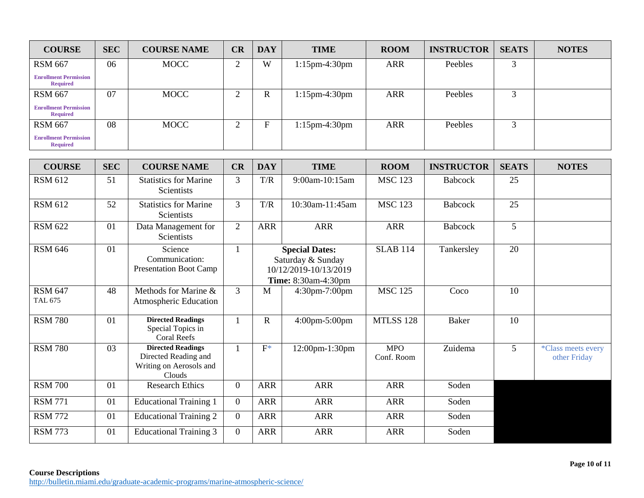| <b>COURSE</b>                                   | <b>SEC</b> | <b>COURSE NAME</b> | CR     | <b>DAY</b>   | <b>TIME</b>      | <b>ROOM</b> | <b>INSTRUCTOR</b> | <b>SEATS</b> | <b>NOTES</b> |
|-------------------------------------------------|------------|--------------------|--------|--------------|------------------|-------------|-------------------|--------------|--------------|
| <b>RSM 667</b>                                  | 06         | <b>MOCC</b>        | ◠      | W            | $1:15$ pm-4:30pm | <b>ARR</b>  | Peebles           | $\sqrt{2}$   |              |
| <b>Enrollment Permission</b><br><b>Required</b> |            |                    |        |              |                  |             |                   |              |              |
| <b>RSM 667</b>                                  | 07         | <b>MOCC</b>        | ◠<br>∠ | $\mathbb{R}$ | $1:15$ pm-4:30pm | <b>ARR</b>  | Peebles           |              |              |
| <b>Enrollment Permission</b><br><b>Required</b> |            |                    |        |              |                  |             |                   |              |              |
| <b>RSM 667</b>                                  | 08         | <b>MOCC</b>        | ◠      | F            | $1:15$ pm-4:30pm | <b>ARR</b>  | Peebles           |              |              |
| <b>Enrollment Permission</b><br><b>Required</b> |            |                    |        |              |                  |             |                   |              |              |

| <b>COURSE</b>             | <b>SEC</b> | <b>COURSE NAME</b>                                                                    | CR             | <b>DAY</b>  | <b>TIME</b>                                                                                       | <b>ROOM</b>              | <b>INSTRUCTOR</b> | <b>SEATS</b>   | <b>NOTES</b>                              |
|---------------------------|------------|---------------------------------------------------------------------------------------|----------------|-------------|---------------------------------------------------------------------------------------------------|--------------------------|-------------------|----------------|-------------------------------------------|
| <b>RSM 612</b>            | 51         | <b>Statistics for Marine</b><br>Scientists                                            | 3              | T/R         | 9:00am-10:15am                                                                                    | <b>MSC 123</b>           | <b>Babcock</b>    | 25             |                                           |
| <b>RSM 612</b>            | 52         | <b>Statistics for Marine</b><br>Scientists                                            | $\overline{3}$ | T/R         | 10:30am-11:45am                                                                                   | <b>MSC 123</b>           | Babcock           | 25             |                                           |
| <b>RSM 622</b>            | 01         | Data Management for<br>Scientists                                                     | $\overline{2}$ | <b>ARR</b>  | <b>ARR</b>                                                                                        | <b>ARR</b>               | Babcock           | 5              |                                           |
| <b>RSM 646</b>            | 01         | Science<br>Communication:<br><b>Presentation Boot Camp</b>                            |                |             | <b>Special Dates:</b><br>Saturday & Sunday<br>10/12/2019-10/13/2019<br><b>Time:</b> 8:30am-4:30pm | <b>SLAB 114</b>          | Tankersley        | 20             |                                           |
| <b>RSM 647</b><br>TAL 675 | 48         | Methods for Marine &<br>Atmospheric Education                                         | 3              | M           | 4:30pm-7:00pm                                                                                     | <b>MSC 125</b>           | Coco              | 10             |                                           |
| <b>RSM 780</b>            | 01         | <b>Directed Readings</b><br>Special Topics in<br><b>Coral Reefs</b>                   |                | $\mathbf R$ | 4:00pm-5:00pm                                                                                     | <b>MTLSS 128</b>         | <b>Baker</b>      | 10             |                                           |
| <b>RSM 780</b>            | 03         | <b>Directed Readings</b><br>Directed Reading and<br>Writing on Aerosols and<br>Clouds |                | $F^*$       | 12:00pm-1:30pm                                                                                    | <b>MPO</b><br>Conf. Room | Zuidema           | 5 <sup>5</sup> | <i>*Class meets every</i><br>other Friday |
| <b>RSM 700</b>            | 01         | <b>Research Ethics</b>                                                                | $\Omega$       | <b>ARR</b>  | <b>ARR</b>                                                                                        | <b>ARR</b>               | Soden             |                |                                           |
| <b>RSM 771</b>            | 01         | <b>Educational Training 1</b>                                                         | $\overline{0}$ | <b>ARR</b>  | <b>ARR</b>                                                                                        | <b>ARR</b>               | Soden             |                |                                           |
| <b>RSM 772</b>            | 01         | <b>Educational Training 2</b>                                                         | $\overline{0}$ | <b>ARR</b>  | <b>ARR</b>                                                                                        | <b>ARR</b>               | Soden             |                |                                           |
| <b>RSM 773</b>            | 01         | <b>Educational Training 3</b>                                                         | $\theta$       | <b>ARR</b>  | <b>ARR</b>                                                                                        | <b>ARR</b>               | Soden             |                |                                           |